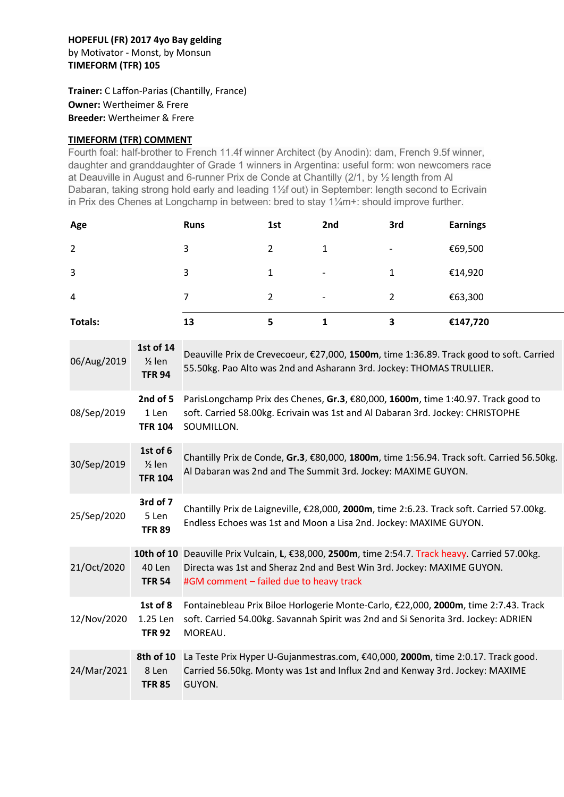## HOPEFUL (FR) 2017 4yo Bay gelding by Motivator - Monst, by Monsun TIMEFORM (TFR) 105

Trainer: C Laffon-Parias (Chantilly, France) Owner: Wertheimer & Frere Breeder: Wertheimer & Frere

## TIMEFORM (TFR) COMMENT

Fourth foal: half-brother to French 11.4f winner Architect (by Anodin): dam, French 9.5f winner, daughter and granddaughter of Grade 1 winners in Argentina: useful form: won newcomers race at Deauville in August and 6-runner Prix de Conde at Chantilly (2/1, by ½ length from Al Dabaran, taking strong hold early and leading 1½f out) in September: length second to Ecrivain in Prix des Chenes at Longchamp in between: bred to stay 1¼m+: should improve further.

| Age     | <b>Runs</b> | 1st | 2nd                      | 3rd                      | <b>Earnings</b> |
|---------|-------------|-----|--------------------------|--------------------------|-----------------|
| 2       | 3           | 2   | 1                        | $\overline{\phantom{a}}$ | €69,500         |
| 3       | 3           | 1   | $\overline{\phantom{a}}$ | 1                        | €14,920         |
| 4       | 7           | 2   | $\overline{\phantom{a}}$ | $\overline{2}$           | €63,300         |
| Totals: | 13          | 5   |                          | 3                        | €147,720        |

| 06/Aug/2019 | 1st of 14<br>$\frac{1}{2}$ len<br><b>TFR 94</b> | Deauville Prix de Crevecoeur, €27,000, 1500m, time 1:36.89. Track good to soft. Carried<br>55.50kg. Pao Alto was 2nd and Asharann 3rd. Jockey: THOMAS TRULLIER.                                                       |  |  |  |
|-------------|-------------------------------------------------|-----------------------------------------------------------------------------------------------------------------------------------------------------------------------------------------------------------------------|--|--|--|
| 08/Sep/2019 | 2nd of 5<br>1 Len<br><b>TFR 104</b>             | ParisLongchamp Prix des Chenes, Gr.3, €80,000, 1600m, time 1:40.97. Track good to<br>soft. Carried 58.00kg. Ecrivain was 1st and Al Dabaran 3rd. Jockey: CHRISTOPHE<br>SOUMILLON.                                     |  |  |  |
| 30/Sep/2019 | 1st of 6<br>$\frac{1}{2}$ len<br><b>TFR 104</b> | Chantilly Prix de Conde, Gr.3, €80,000, 1800m, time 1:56.94. Track soft. Carried 56.50kg.<br>Al Dabaran was 2nd and The Summit 3rd. Jockey: MAXIME GUYON.                                                             |  |  |  |
| 25/Sep/2020 | 3rd of 7<br>5 Len<br><b>TFR 89</b>              | Chantilly Prix de Laigneville, €28,000, 2000m, time 2:6.23. Track soft. Carried 57.00kg.<br>Endless Echoes was 1st and Moon a Lisa 2nd. Jockey: MAXIME GUYON.                                                         |  |  |  |
| 21/Oct/2020 | 40 Len<br><b>TFR 54</b>                         | 10th of 10 Deauville Prix Vulcain, L, €38,000, 2500m, time 2:54.7. Track heavy. Carried 57.00kg.<br>Directa was 1st and Sheraz 2nd and Best Win 3rd. Jockey: MAXIME GUYON.<br>#GM comment - failed due to heavy track |  |  |  |
| 12/Nov/2020 | 1st of 8<br>1.25 Len<br><b>TFR 92</b>           | Fontainebleau Prix Biloe Horlogerie Monte-Carlo, €22,000, 2000m, time 2:7.43. Track<br>soft. Carried 54.00kg. Savannah Spirit was 2nd and Si Senorita 3rd. Jockey: ADRIEN<br>MOREAU.                                  |  |  |  |
| 24/Mar/2021 | 8th of 10<br>8 Len<br><b>TFR 85</b>             | La Teste Prix Hyper U-Gujanmestras.com, €40,000, 2000m, time 2:0.17. Track good.<br>Carried 56.50kg. Monty was 1st and Influx 2nd and Kenway 3rd. Jockey: MAXIME<br>GUYON.                                            |  |  |  |